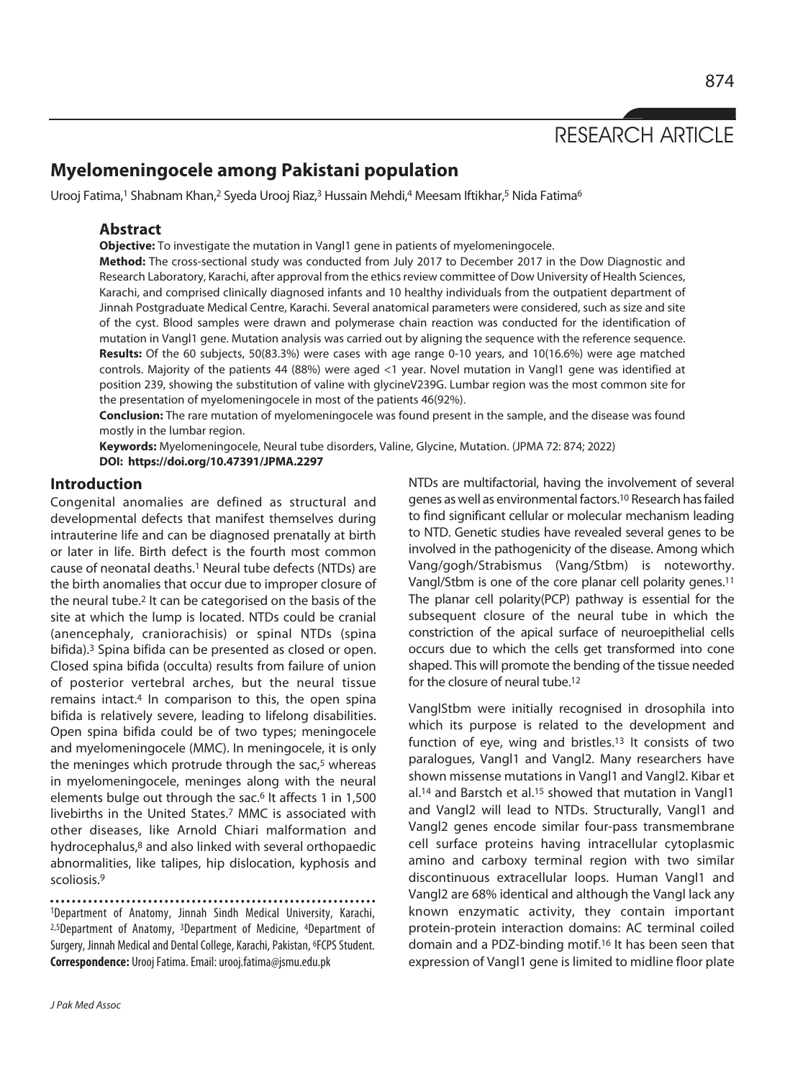# RESEARCH ARTICLE

# **Myelomeningocele among Pakistani population**

Urooj Fatima,<sup>1</sup> Shabnam Khan,<sup>2</sup> Syeda Urooj Riaz,<sup>3</sup> Hussain Mehdi,<sup>4</sup> Meesam Iftikhar,<sup>5</sup> Nida Fatima<sup>6</sup>

#### **Abstract**

**Objective:** To investigate the mutation in Vangl1 gene in patients of myelomeningocele.

**Method:** The cross-sectional study was conducted from July 2017 to December 2017 in the Dow Diagnostic and Research Laboratory, Karachi, after approval from the ethics review committee of Dow University of Health Sciences, Karachi, and comprised clinically diagnosed infants and 10 healthy individuals from the outpatient department of Jinnah Postgraduate Medical Centre, Karachi. Several anatomical parameters were considered, such as size and site of the cyst. Blood samples were drawn and polymerase chain reaction was conducted for the identification of mutation in Vangl1 gene. Mutation analysis was carried out by aligning the sequence with the reference sequence. **Results:** Of the 60 subjects, 50(83.3%) were cases with age range 0-10 years, and 10(16.6%) were age matched controls. Majority of the patients 44 (88%) were aged <1 year. Novel mutation in Vangl1 gene was identified at position 239, showing the substitution of valine with glycineV239G. Lumbar region was the most common site for the presentation of myelomeningocele in most of the patients 46(92%).

**Conclusion:** The rare mutation of myelomeningocele was found present in the sample, and the disease was found mostly in the lumbar region.

**Keywords:** Myelomeningocele, Neural tube disorders, Valine, Glycine, Mutation. (JPMA 72: 874; 2022) **DOI: https://doi.org/10.47391/JPMA.2297** 

#### **Introduction**

Congenital anomalies are defined as structural and developmental defects that manifest themselves during intrauterine life and can be diagnosed prenatally at birth or later in life. Birth defect is the fourth most common cause of neonatal deaths.1 Neural tube defects (NTDs) are the birth anomalies that occur due to improper closure of the neural tube.2 It can be categorised on the basis of the site at which the lump is located. NTDs could be cranial (anencephaly, craniorachisis) or spinal NTDs (spina bifida).3 Spina bifida can be presented as closed or open. Closed spina bifida (occulta) results from failure of union of posterior vertebral arches, but the neural tissue remains intact.<sup>4</sup> In comparison to this, the open spina bifida is relatively severe, leading to lifelong disabilities. Open spina bifida could be of two types; meningocele and myelomeningocele (MMC). In meningocele, it is only the meninges which protrude through the sac,<sup>5</sup> whereas in myelomeningocele, meninges along with the neural elements bulge out through the sac.6 It affects 1 in 1,500 livebirths in the United States.7 MMC is associated with other diseases, like Arnold Chiari malformation and hydrocephalus,8 and also linked with several orthopaedic abnormalities, like talipes, hip dislocation, kyphosis and scoliosis.9

1Department of Anatomy, Jinnah Sindh Medical University, Karachi, 2,5Department of Anatomy, 3Department of Medicine, 4Department of Surgery, Jinnah Medical and Dental College, Karachi, Pakistan, 6FCPS Student. **Correspondence:** Urooj Fatima. Email: urooj.fatima@jsmu.edu.pk

J Pak Med Assoc

NTDs are multifactorial, having the involvement of several genes as well as environmental factors.10 Research has failed to find significant cellular or molecular mechanism leading to NTD. Genetic studies have revealed several genes to be involved in the pathogenicity of the disease. Among which Vang/gogh/Strabismus (Vang/Stbm) is noteworthy. Vangl/Stbm is one of the core planar cell polarity genes.11 The planar cell polarity(PCP) pathway is essential for the subsequent closure of the neural tube in which the constriction of the apical surface of neuroepithelial cells occurs due to which the cells get transformed into cone shaped. This will promote the bending of the tissue needed for the closure of neural tube.12

VanglStbm were initially recognised in drosophila into which its purpose is related to the development and function of eye, wing and bristles.13 It consists of two paralogues, Vangl1 and Vangl2. Many researchers have shown missense mutations in Vangl1 and Vangl2. Kibar et al.14 and Barstch et al.15 showed that mutation in Vangl1 and Vangl2 will lead to NTDs. Structurally, Vangl1 and Vangl2 genes encode similar four-pass transmembrane cell surface proteins having intracellular cytoplasmic amino and carboxy terminal region with two similar discontinuous extracellular loops. Human Vangl1 and Vangl2 are 68% identical and although the Vangl lack any known enzymatic activity, they contain important protein-protein interaction domains: AC terminal coiled domain and a PDZ-binding motif.16 It has been seen that expression of Vangl1 gene is limited to midline floor plate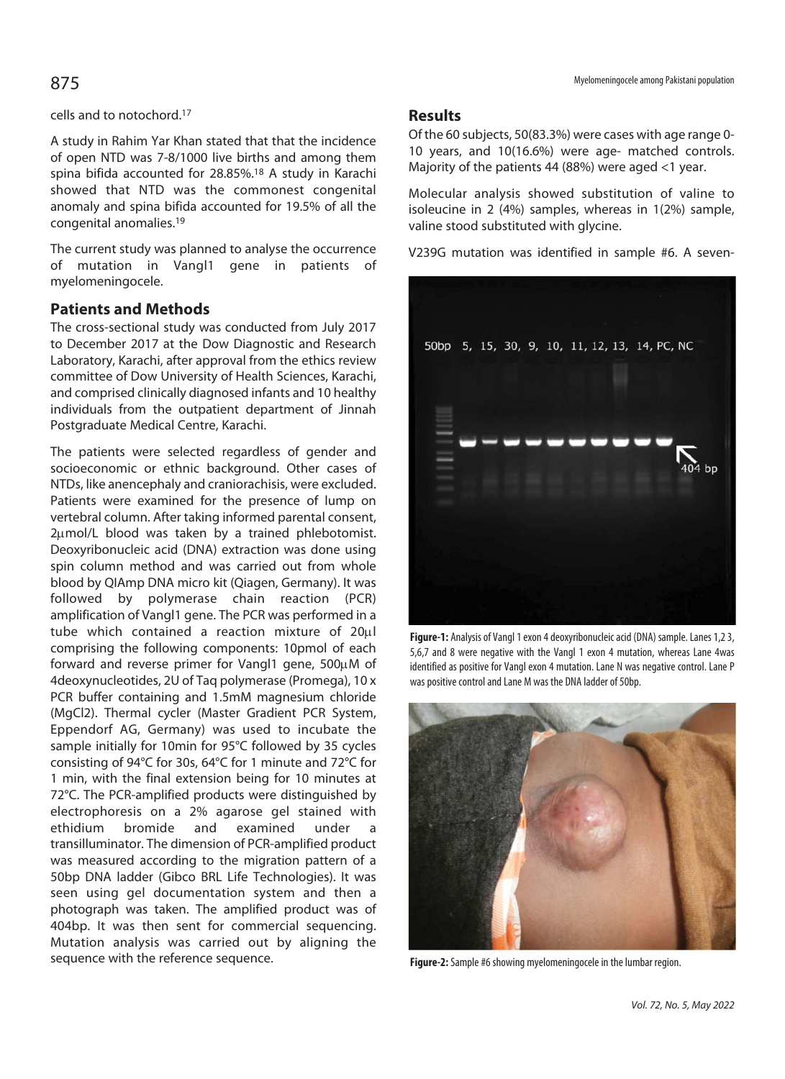A study in Rahim Yar Khan stated that that the incidence of open NTD was 7-8/1000 live births and among them spina bifida accounted for 28.85%.18 A study in Karachi showed that NTD was the commonest congenital anomaly and spina bifida accounted for 19.5% of all the congenital anomalies.19

The current study was planned to analyse the occurrence of mutation in Vangl1 gene in patients of myelomeningocele.

## **Patients and Methods**

The cross-sectional study was conducted from July 2017 to December 2017 at the Dow Diagnostic and Research Laboratory, Karachi, after approval from the ethics review committee of Dow University of Health Sciences, Karachi, and comprised clinically diagnosed infants and 10 healthy individuals from the outpatient department of Jinnah Postgraduate Medical Centre, Karachi.

The patients were selected regardless of gender and socioeconomic or ethnic background. Other cases of NTDs, like anencephaly and craniorachisis, were excluded. Patients were examined for the presence of lump on vertebral column. After taking informed parental consent, 2µmol/L blood was taken by a trained phlebotomist. Deoxyribonucleic acid (DNA) extraction was done using spin column method and was carried out from whole blood by QIAmp DNA micro kit (Qiagen, Germany). It was followed by polymerase chain reaction (PCR) amplification of Vangl1 gene. The PCR was performed in a tube which contained a reaction mixture of  $20\mu$ comprising the following components: 10pmol of each forward and reverse primer for Vangl1 gene,  $500\mu$ M of 4deoxynucleotides, 2U of Taq polymerase (Promega), 10 x PCR buffer containing and 1.5mM magnesium chloride (MgCl2). Thermal cycler (Master Gradient PCR System, Eppendorf AG, Germany) was used to incubate the sample initially for 10min for 95°C followed by 35 cycles consisting of 94°C for 30s, 64°C for 1 minute and 72°C for 1 min, with the final extension being for 10 minutes at 72°C. The PCR-amplified products were distinguished by electrophoresis on a 2% agarose gel stained with ethidium bromide and examined under a transilluminator. The dimension of PCR-amplified product was measured according to the migration pattern of a 50bp DNA ladder (Gibco BRL Life Technologies). It was seen using gel documentation system and then a photograph was taken. The amplified product was of 404bp. It was then sent for commercial sequencing. Mutation analysis was carried out by aligning the sequence with the reference sequence.

#### Myelomeningocele among Pakistani population 875

#### **Results**

Of the 60 subjects, 50(83.3%) were cases with age range 0- 10 years, and 10(16.6%) were age- matched controls. Majority of the patients 44 (88%) were aged <1 year.

Molecular analysis showed substitution of valine to isoleucine in 2 (4%) samples, whereas in 1(2%) sample, valine stood substituted with glycine.

V239G mutation was identified in sample #6. A seven-



**Figure-1:** Analysis of Vangl 1 exon 4 deoxyribonucleic acid (DNA) sample. Lanes 1,2 3, 5,6,7 and 8 were negative with the Vangl 1 exon 4 mutation, whereas Lane 4was identified as positive for Vangl exon 4 mutation. Lane N was negative control. Lane P was positive control and Lane M was the DNA ladder of 50bp.



**Figure-2:** Sample #6 showing myelomeningocele in the lumbar region.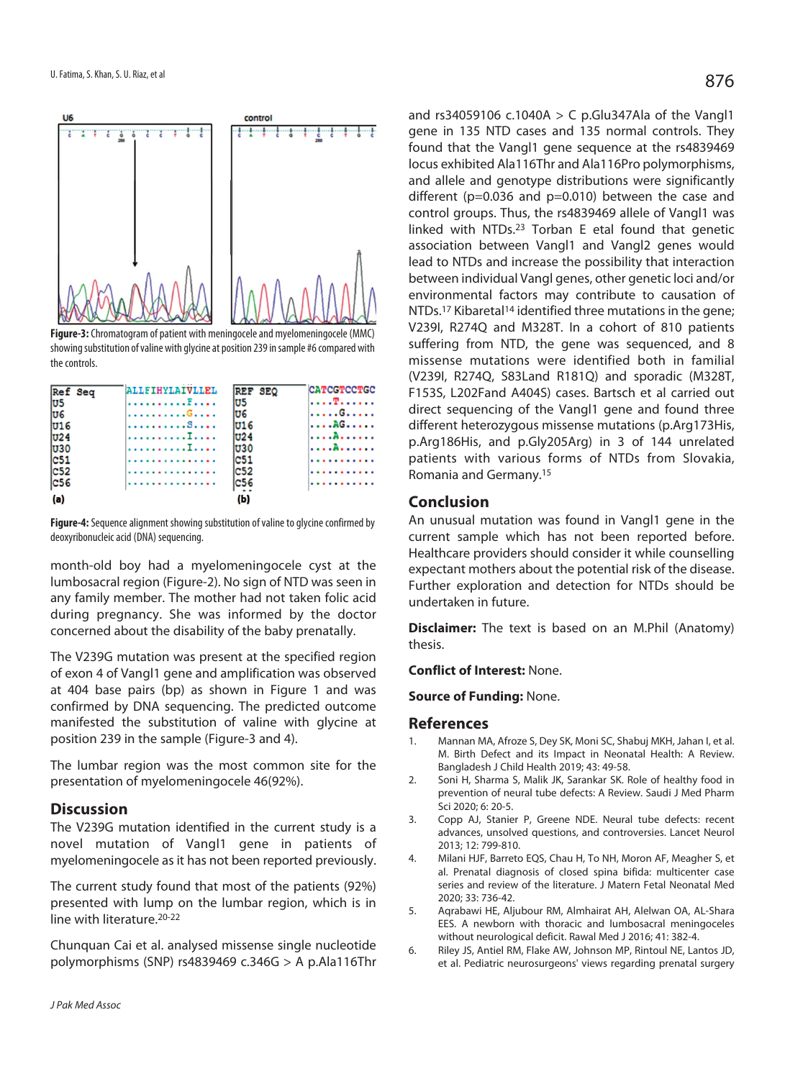

**Figure-3:** Chromatogram of patient with meningocele and myelomeningocele (MMC) showing substitution of valine with glycine at position 239 in sample #6 compared with the controls.

| Ref Seq         | ALLFIHYLAIVLLEL | REF SEO         | <b>CATCGTCCTGC</b> |
|-----------------|-----------------|-----------------|--------------------|
| lu5             | . <del>.</del>  | lu5             | .T.                |
| lu6             | .G.             | lu6             | . G.               |
| U16             | . 8 <i>. .</i>  | lu16            | . AG               |
| U <sub>24</sub> | . <del>.</del>  | <b>U24</b>      | .A.                |
| $U30$           | . I <b>.</b> .  | lu30            | . . <b>. . A .</b> |
| c51             | .               | C <sub>51</sub> |                    |
| c52             | . <b>.</b>      | <b>C52</b>      |                    |
| c56             | . <b>. .</b> .  | <b>C56</b>      |                    |
| (a)             |                 | (Ы)             |                    |

**Figure-4:** Sequence alignment showing substitution of valine to glycine confirmed by deoxyribonucleic acid (DNA) sequencing.

month-old boy had a myelomeningocele cyst at the lumbosacral region (Figure-2). No sign of NTD was seen in any family member. The mother had not taken folic acid during pregnancy. She was informed by the doctor concerned about the disability of the baby prenatally.

The V239G mutation was present at the specified region of exon 4 of Vangl1 gene and amplification was observed at 404 base pairs (bp) as shown in Figure 1 and was confirmed by DNA sequencing. The predicted outcome manifested the substitution of valine with glycine at position 239 in the sample (Figure-3 and 4).

The lumbar region was the most common site for the presentation of myelomeningocele 46(92%).

#### **Discussion**

The V239G mutation identified in the current study is a novel mutation of Vangl1 gene in patients of myelomeningocele as it has not been reported previously.

The current study found that most of the patients (92%) presented with lump on the lumbar region, which is in line with literature.20-22

Chunquan Cai et al. analysed missense single nucleotide polymorphisms (SNP) rs4839469 c.346G > A p.Ala116Thr and rs34059106 c.1040A  $>$  C p.Glu347Ala of the Vangl1 gene in 135 NTD cases and 135 normal controls. They found that the Vangl1 gene sequence at the rs4839469 locus exhibited Ala116Thr and Ala116Pro polymorphisms, and allele and genotype distributions were significantly different (p=0.036 and p=0.010) between the case and control groups. Thus, the rs4839469 allele of Vangl1 was linked with NTDs.23 Torban E etal found that genetic association between Vangl1 and Vangl2 genes would lead to NTDs and increase the possibility that interaction between individual Vangl genes, other genetic loci and/or environmental factors may contribute to causation of NTDs.17 Kibaretal14 identified three mutations in the gene; V239I, R274Q and M328T. In a cohort of 810 patients suffering from NTD, the gene was sequenced, and 8 missense mutations were identified both in familial (V239I, R274Q, S83Land R181Q) and sporadic (M328T, F153S, L202Fand A404S) cases. Bartsch et al carried out direct sequencing of the Vangl1 gene and found three different heterozygous missense mutations (p.Arg173His, p.Arg186His, and p.Gly205Arg) in 3 of 144 unrelated patients with various forms of NTDs from Slovakia, Romania and Germany.15

### **Conclusion**

An unusual mutation was found in Vangl1 gene in the current sample which has not been reported before. Healthcare providers should consider it while counselling expectant mothers about the potential risk of the disease. Further exploration and detection for NTDs should be undertaken in future.

**Disclaimer:** The text is based on an M.Phil (Anatomy) thesis.

**Conflict of Interest:** None.

**Source of Funding:** None.

#### **References**

- 1. Mannan MA, Afroze S, Dey SK, Moni SC, Shabuj MKH, Jahan I, et al. M. Birth Defect and its Impact in Neonatal Health: A Review. Bangladesh J Child Health 2019; 43: 49-58.
- 2. Soni H, Sharma S, Malik JK, Sarankar SK. Role of healthy food in prevention of neural tube defects: A Review. Saudi J Med Pharm Sci 2020; 6: 20-5.
- 3. Copp AJ, Stanier P, Greene NDE. Neural tube defects: recent advances, unsolved questions, and controversies. Lancet Neurol 2013; 12: 799-810.
- 4. Milani HJF, Barreto EQS, Chau H, To NH, Moron AF, Meagher S, et al. Prenatal diagnosis of closed spina bifida: multicenter case series and review of the literature. J Matern Fetal Neonatal Med 2020; 33: 736-42.
- 5. Aqrabawi HE, Aljubour RM, Almhairat AH, Alelwan OA, AL-Shara EES. A newborn with thoracic and lumbosacral meningoceles without neurological deficit. Rawal Med J 2016; 41: 382-4.
- 6. Riley JS, Antiel RM, Flake AW, Johnson MP, Rintoul NE, Lantos JD, et al. Pediatric neurosurgeons' views regarding prenatal surgery